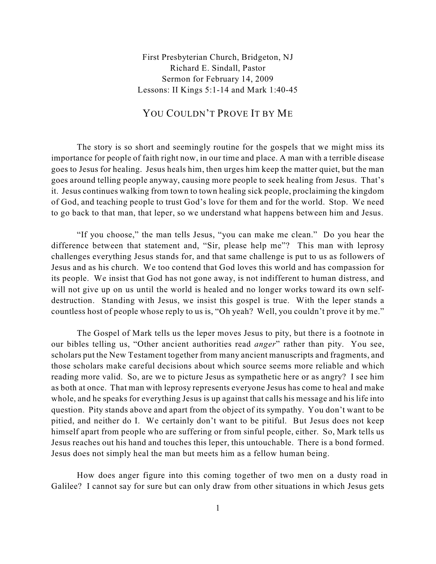First Presbyterian Church, Bridgeton, NJ Richard E. Sindall, Pastor Sermon for February 14, 2009 Lessons: II Kings 5:1-14 and Mark 1:40-45

## YOU COULDN'T PROVE IT BY ME

The story is so short and seemingly routine for the gospels that we might miss its importance for people of faith right now, in our time and place. A man with a terrible disease goes to Jesus for healing. Jesus heals him, then urges him keep the matter quiet, but the man goes around telling people anyway, causing more people to seek healing from Jesus. That's it. Jesus continues walking from town to town healing sick people, proclaiming the kingdom of God, and teaching people to trust God's love for them and for the world. Stop. We need to go back to that man, that leper, so we understand what happens between him and Jesus.

"If you choose," the man tells Jesus, "you can make me clean." Do you hear the difference between that statement and, "Sir, please help me"? This man with leprosy challenges everything Jesus stands for, and that same challenge is put to us as followers of Jesus and as his church. We too contend that God loves this world and has compassion for its people. We insist that God has not gone away, is not indifferent to human distress, and will not give up on us until the world is healed and no longer works toward its own selfdestruction. Standing with Jesus, we insist this gospel is true. With the leper stands a countless host of people whose reply to us is, "Oh yeah? Well, you couldn't prove it by me."

The Gospel of Mark tells us the leper moves Jesus to pity, but there is a footnote in our bibles telling us, "Other ancient authorities read *anger*" rather than pity. You see, scholars put the New Testament together from many ancient manuscripts and fragments, and those scholars make careful decisions about which source seems more reliable and which reading more valid. So, are we to picture Jesus as sympathetic here or as angry? I see him as both at once. That man with leprosy represents everyone Jesus has come to heal and make whole, and he speaks for everything Jesus is up against that calls his message and his life into question. Pity stands above and apart from the object of its sympathy. You don't want to be pitied, and neither do I. We certainly don't want to be pitiful. But Jesus does not keep himself apart from people who are suffering or from sinful people, either. So, Mark tells us Jesus reaches out his hand and touches this leper, this untouchable. There is a bond formed. Jesus does not simply heal the man but meets him as a fellow human being.

How does anger figure into this coming together of two men on a dusty road in Galilee? I cannot say for sure but can only draw from other situations in which Jesus gets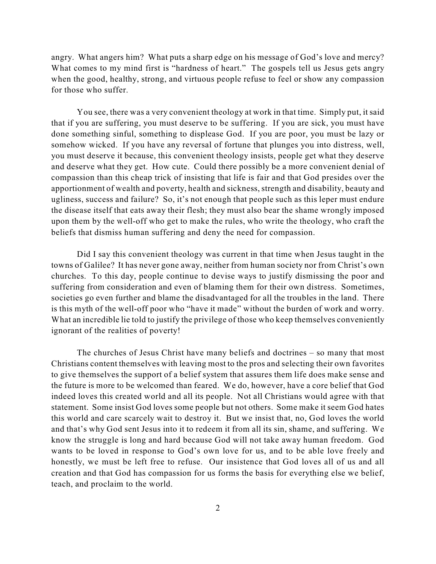angry. What angers him? What puts a sharp edge on his message of God's love and mercy? What comes to my mind first is "hardness of heart." The gospels tell us Jesus gets angry when the good, healthy, strong, and virtuous people refuse to feel or show any compassion for those who suffer.

You see, there was a very convenient theology at work in that time. Simply put, it said that if you are suffering, you must deserve to be suffering. If you are sick, you must have done something sinful, something to displease God. If you are poor, you must be lazy or somehow wicked. If you have any reversal of fortune that plunges you into distress, well, you must deserve it because, this convenient theology insists, people get what they deserve and deserve what they get. How cute. Could there possibly be a more convenient denial of compassion than this cheap trick of insisting that life is fair and that God presides over the apportionment of wealth and poverty, health and sickness, strength and disability, beauty and ugliness, success and failure? So, it's not enough that people such as this leper must endure the disease itself that eats away their flesh; they must also bear the shame wrongly imposed upon them by the well-off who get to make the rules, who write the theology, who craft the beliefs that dismiss human suffering and deny the need for compassion.

Did I say this convenient theology was current in that time when Jesus taught in the towns of Galilee? It has never gone away, neither from human society nor from Christ's own churches. To this day, people continue to devise ways to justify dismissing the poor and suffering from consideration and even of blaming them for their own distress. Sometimes, societies go even further and blame the disadvantaged for all the troubles in the land. There is this myth of the well-off poor who "have it made" without the burden of work and worry. What an incredible lie told to justify the privilege of those who keep themselves conveniently ignorant of the realities of poverty!

The churches of Jesus Christ have many beliefs and doctrines – so many that most Christians content themselves with leaving most to the pros and selecting their own favorites to give themselves the support of a belief system that assures them life does make sense and the future is more to be welcomed than feared. We do, however, have a core belief that God indeed loves this created world and all its people. Not all Christians would agree with that statement. Some insist God loves some people but not others. Some make it seem God hates this world and care scarcely wait to destroy it. But we insist that, no, God loves the world and that's why God sent Jesus into it to redeem it from all its sin, shame, and suffering. We know the struggle is long and hard because God will not take away human freedom. God wants to be loved in response to God's own love for us, and to be able love freely and honestly, we must be left free to refuse. Our insistence that God loves all of us and all creation and that God has compassion for us forms the basis for everything else we belief, teach, and proclaim to the world.